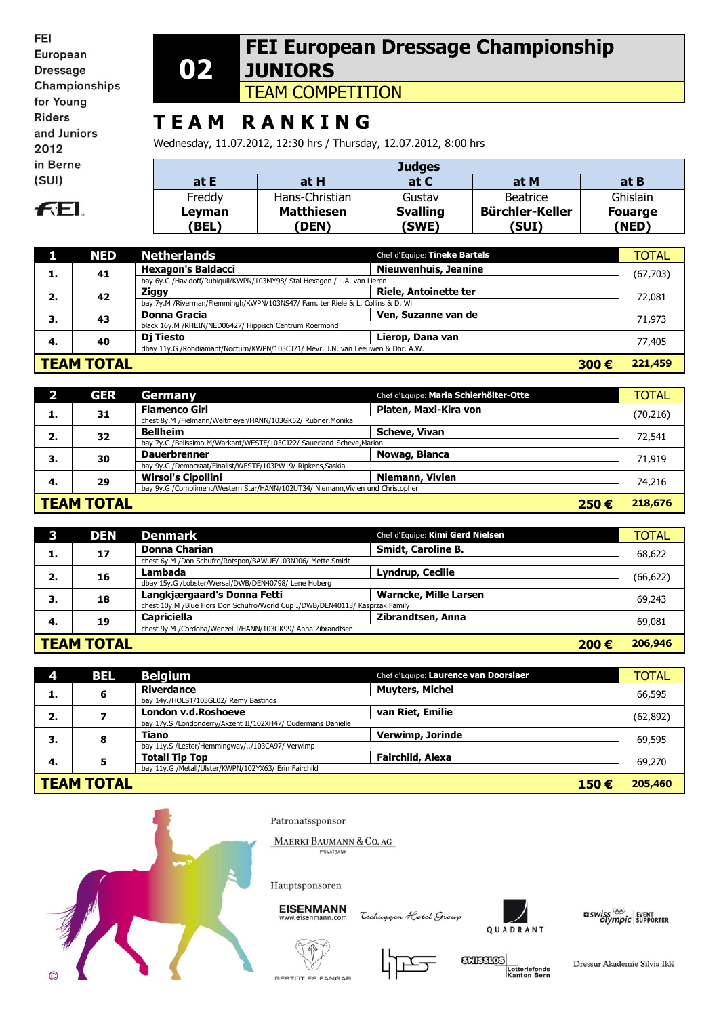FEI European **Dressage** Championships for Young **Riders** and Juniors 2012 in Berne  $(SUI)$ 

## **FEL**

#### **02 FEI European Dressage Championship JUNIORS**

TEAM COMPETITION

# **T E A M R A N K I N G**

Wednesday, 11.07.2012, 12:30 hrs / Thursday, 12.07.2012, 8:00 hrs

| <b>Judges</b>   |                                  |                          |                                 |                         |  |
|-----------------|----------------------------------|--------------------------|---------------------------------|-------------------------|--|
| at E            | at H                             | at C                     | at M                            | at B                    |  |
| Freddy          | Hans-Christian                   | Gustav                   | Beatrice                        | Ghislain                |  |
| Leyman<br>(BEL) | <b>Matthiesen</b><br><b>DEN)</b> | <b>Svalling</b><br>(SWE) | <b>Bürchler-Keller</b><br>(SUI) | <b>Fouarge</b><br>(NED) |  |

|                                                                                 | <b>NED</b> | <b>Netherlands</b>                                                             | Chef d'Equipe: Tineke Bartels | <b>TOTAL</b> |
|---------------------------------------------------------------------------------|------------|--------------------------------------------------------------------------------|-------------------------------|--------------|
| ı.                                                                              | 41         | <b>Hexagon's Baldacci</b>                                                      | <b>Nieuwenhuis, Jeanine</b>   | (67,703)     |
|                                                                                 |            | bay 6y.G /Havidoff/Rubiquil/KWPN/103MY98/ Stal Hexagon / L.A. van Lieren       |                               |              |
| 2.                                                                              | 42         | Ziggy                                                                          | <b>Riele, Antoinette ter</b>  | 72,081       |
|                                                                                 |            | bay 7y.M /Riverman/Flemmingh/KWPN/103NS47/ Fam. ter Riele & L. Collins & D. Wi |                               |              |
| З.                                                                              | 43         | <b>Donna Gracia</b>                                                            | Ven, Suzanne van de           | 71,973       |
|                                                                                 |            | black 16y.M /RHEIN/NED06427/ Hippisch Centrum Roermond                         |                               |              |
| -4.                                                                             | 40         | Dj Tiesto                                                                      | Lierop, Dana van              | 77,405       |
| dbay 11y.G /Rohdiamant/Nocturn/KWPN/103CJ71/ Mevr. J.N. van Leeuwen & Dhr. A.W. |            |                                                                                |                               |              |
| <b>TEAM TOTAL</b><br>300€                                                       |            |                                                                                | 221,459                       |              |

|                                                                                 | <b>GER</b> | Germany                                                               | Chef d'Equipe: Maria Schierhölter-Otte |  | <b>TOTAL</b> |
|---------------------------------------------------------------------------------|------------|-----------------------------------------------------------------------|----------------------------------------|--|--------------|
|                                                                                 | 31         | <b>Flamenco Girl</b>                                                  | Platen, Maxi-Kira von                  |  | (70,216)     |
|                                                                                 |            | chest 8y.M /Fielmann/Weltmeyer/HANN/103GK52/ Rubner, Monika           |                                        |  |              |
| 2.                                                                              | 32         | <b>Bellheim</b>                                                       | <b>Scheve, Vivan</b>                   |  | 72,541       |
|                                                                                 |            | bay 7y.G /Belissimo M/Warkant/WESTF/103CJ22/ Sauerland-Scheve, Marion |                                        |  |              |
| 3.                                                                              | 30         | <b>Dauerbrenner</b>                                                   | Nowag, Bianca                          |  | 71,919       |
|                                                                                 |            | bay 9y.G /Democraat/Finalist/WESTF/103PW19/ Ripkens,Saskia            |                                        |  |              |
| 4.                                                                              | 29         | <b>Wirsol's Cipollini</b>                                             | Niemann, Vivien                        |  | 74,216       |
| bay 9y.G /Compliment/Western Star/HANN/102UT34/ Niemann, Vivien und Christopher |            |                                                                       |                                        |  |              |
| <b>TEAM TOTAL</b><br>250€                                                       |            |                                                                       | 218,676                                |  |              |

|                           | <b>DEN</b>                                           | <b>Denmark</b>                                                               | Chef d'Equipe: Kimi Gerd Nielsen | <b>TOTAL</b> |  |
|---------------------------|------------------------------------------------------|------------------------------------------------------------------------------|----------------------------------|--------------|--|
| ı.                        | 17                                                   | <b>Donna Charian</b>                                                         | <b>Smidt, Caroline B.</b>        | 68,622       |  |
|                           |                                                      | chest 6y.M /Don Schufro/Rotspon/BAWUE/103NJ06/ Mette Smidt                   |                                  |              |  |
| 2.                        | 16                                                   | Lambada                                                                      | <b>Lyndrup, Cecilie</b>          | (66, 622)    |  |
|                           | dbay 15y.G /Lobster/Wersal/DWB/DEN40798/ Lene Hoberg |                                                                              |                                  |              |  |
| 3.                        | 18                                                   | Langkjærgaard's Donna Fetti                                                  | <b>Warncke, Mille Larsen</b>     | 69,243       |  |
|                           |                                                      | chest 10y.M /Blue Hors Don Schufro/World Cup I/DWB/DEN40113/ Kasprzak Family |                                  |              |  |
| 4.                        | 19                                                   | <b>Capriciella</b>                                                           | Zibrandtsen, Anna                | 69,081       |  |
|                           |                                                      | chest 9y.M /Cordoba/Wenzel I/HANN/103GK99/ Anna Zibrandtsen                  |                                  |              |  |
| <b>TEAM TOTAL</b><br>200€ |                                                      |                                                                              | 206,946                          |              |  |

|                           | <b>BEL</b> | <b>Belgium</b>                                               | Chef d'Equipe: Laurence van Doorslaer | <b>TOTAL</b> |
|---------------------------|------------|--------------------------------------------------------------|---------------------------------------|--------------|
| ı.                        | 6          | Riverdance                                                   | <b>Muyters, Michel</b>                | 66,595       |
|                           |            | bay 14y./HOLST/103GL02/ Remy Bastings                        |                                       |              |
| 2.                        |            | London v.d.Roshoeve                                          | van Riet, Emilie                      | (62, 892)    |
|                           |            | bay 17y.S /Londonderry/Akzent II/102XH47/ Oudermans Danielle |                                       |              |
| З.                        | 8          | <b>Tiano</b>                                                 | Verwimp, Jorinde                      | 69,595       |
|                           |            | bay 11y.S /Lester/Hemmingway//103CA97/ Verwimp               |                                       |              |
| 4.                        | э          | <b>Totall Tip Top</b>                                        | <b>Fairchild, Alexa</b>               | 69,270       |
|                           |            | bay 11y.G /Metall/Ulster/KWPN/102YX63/ Erin Fairchild        |                                       |              |
| <b>TEAM TOTAL</b><br>150€ |            |                                                              | 205,460                               |              |



Patronatssponsor

MAERKI BAUMANN & CO. AG RIVATBAN

Hauptsponsoren

**EISENMANN** eisenmann.co

Tschuggen Hotel Group



 $\frac{1}{2}$  swiss  $\frac{1}{2}$  event of supporter



**GXISSIOS** Lotteriefonds<br>Kanton Bern

Dressur Akademie Silvia Iklé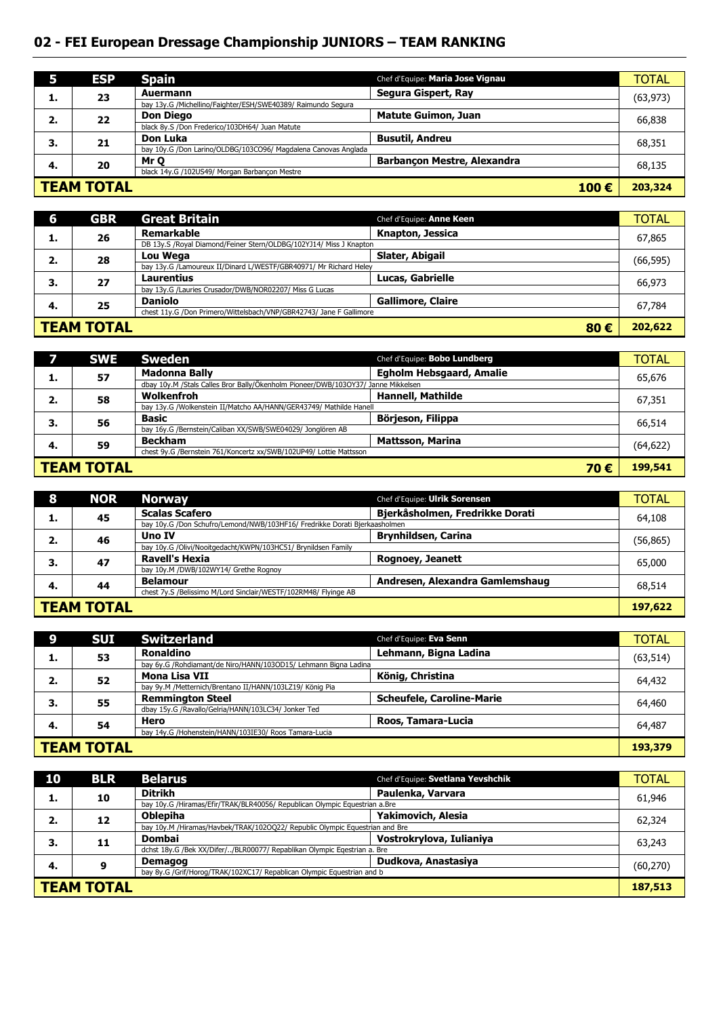## **02 - FEI European Dressage Championship JUNIORS – TEAM RANKING**

|                           | <b>ESP</b> | <b>Spain</b>                                                   | Chef d'Equipe: Maria Jose Vignau   | TOTAL     |
|---------------------------|------------|----------------------------------------------------------------|------------------------------------|-----------|
| д.                        | 23         | Auermann                                                       | Segura Gispert, Ray                | (63, 973) |
|                           |            | bay 13y.G /Michellino/Faighter/ESH/SWE40389/ Raimundo Segura   |                                    |           |
| 2.                        | 22         | <b>Don Diego</b>                                               | <b>Matute Guimon, Juan</b>         | 66,838    |
|                           |            | black 8y.S /Don Frederico/103DH64/ Juan Matute                 |                                    |           |
| 3.                        | 21         | Don Luka                                                       | <b>Busutil, Andreu</b>             | 68,351    |
|                           |            | bay 10y.G /Don Larino/OLDBG/103CO96/ Magdalena Canovas Anglada |                                    |           |
| 4.                        | 20         | Mr O                                                           | <b>Barbancon Mestre, Alexandra</b> | 68,135    |
|                           |            | black 14y.G /102US49/ Morgan Barbancon Mestre                  |                                    |           |
| <b>TEAM TOTAL</b><br>100€ |            |                                                                | 203,324                            |           |

| 6                        | <b>GBR</b>                                                          | <b>Great Britain</b>                                               | Chef d'Equipe: Anne Keen | <b>TOTAL</b> |
|--------------------------|---------------------------------------------------------------------|--------------------------------------------------------------------|--------------------------|--------------|
|                          | 26                                                                  | <b>Remarkable</b>                                                  | Knapton, Jessica         | 67,865       |
|                          |                                                                     | DB 13y.S /Royal Diamond/Feiner Stern/OLDBG/102YJ14/ Miss J Knapton |                          |              |
| 2.                       | 28                                                                  | Lou Wega                                                           | Slater, Abigail          | (66, 595)    |
|                          |                                                                     | bay 13y.G /Lamoureux II/Dinard L/WESTF/GBR40971/ Mr Richard Heley  |                          |              |
| З.                       | 27                                                                  | Laurentius                                                         | <b>Lucas, Gabrielle</b>  | 66,973       |
|                          |                                                                     | bay 13y.G /Lauries Crusador/DWB/NOR02207/ Miss G Lucas             |                          |              |
| 4.                       | 25                                                                  | <b>Daniolo</b>                                                     | <b>Gallimore, Claire</b> | 67,784       |
|                          | chest 11y.G /Don Primero/Wittelsbach/VNP/GBR42743/ Jane F Gallimore |                                                                    |                          |              |
| <b>TEAM TOTAL</b><br>80€ |                                                                     |                                                                    | 202,622                  |              |

|                          | <b>SWE</b> | <b>Sweden</b>                                                                     | Chef d'Equipe: Bobo Lundberg    | <b>TOTAL</b>                                       |
|--------------------------|------------|-----------------------------------------------------------------------------------|---------------------------------|----------------------------------------------------|
| ı.                       | 57         | <b>Madonna Bally</b>                                                              | <b>Egholm Hebsgaard, Amalie</b> |                                                    |
|                          |            | dbay 10y.M /Stals Calles Bror Bally/Ökenholm Pioneer/DWB/103OY37/ Janne Mikkelsen |                                 | 65,676<br>67,351<br>66,514<br>(64, 622)<br>199,541 |
| 2.                       | 58         | Wolkenfroh                                                                        | <b>Hannell, Mathilde</b>        |                                                    |
|                          |            | bay 13y.G /Wolkenstein II/Matcho AA/HANN/GER43749/ Mathilde Hanell                |                                 |                                                    |
| 3.                       | 56         | <b>Basic</b>                                                                      | Börjeson, Filippa               |                                                    |
|                          |            | bay 16y.G /Bernstein/Caliban XX/SWB/SWE04029/ Jonglören AB                        |                                 |                                                    |
| 4.                       | 59         | <b>Beckham</b>                                                                    | <b>Mattsson, Marina</b>         |                                                    |
|                          |            | chest 9y.G /Bernstein 761/Koncertz xx/SWB/102UP49/ Lottie Mattsson                |                                 |                                                    |
| <b>TEAM TOTAL</b><br>70€ |            |                                                                                   |                                 |                                                    |

| 8                                                               | <b>NOR</b> | <b>Norway</b>                                                              | Chef d'Equipe: Ulrik Sorensen   | <b>TOTAL</b> |
|-----------------------------------------------------------------|------------|----------------------------------------------------------------------------|---------------------------------|--------------|
|                                                                 | 45         | <b>Scalas Scafero</b>                                                      | Bjerkåsholmen, Fredrikke Dorati | 64,108       |
| л.                                                              |            | bay 10y.G /Don Schufro/Lemond/NWB/103HF16/ Fredrikke Dorati Bierkaasholmen |                                 |              |
| 2.                                                              | 46         | Uno IV                                                                     | <b>Brynhildsen, Carina</b>      | (56, 865)    |
|                                                                 |            | bay 10y.G /Olivi/Nooitgedacht/KWPN/103HC51/ Brynildsen Family              |                                 |              |
| 3.                                                              | 47         | <b>Ravell's Hexia</b>                                                      | <b>Rognoey, Jeanett</b>         | 65,000       |
|                                                                 |            | bay 10y.M /DWB/102WY14/ Grethe Rognoy                                      |                                 |              |
| 4.                                                              | 44         | <b>Belamour</b>                                                            | Andresen, Alexandra Gamlemshaug | 68,514       |
| chest 7y.S /Belissimo M/Lord Sinclair/WESTF/102RM48/ Flyinge AB |            |                                                                            |                                 |              |
| <b>TEAM TOTAL</b>                                               |            |                                                                            |                                 | 197,622      |

|                                                       | <b>SUI</b> | <b>Switzerland</b>                                              | Chef d'Equipe: Eva Senn          | <b>TOTAL</b> |
|-------------------------------------------------------|------------|-----------------------------------------------------------------|----------------------------------|--------------|
|                                                       | 53         | Ronaldino                                                       | Lehmann, Bigna Ladina            | (63, 514)    |
|                                                       |            | bay 6y.G /Rohdiamant/de Niro/HANN/103OD15/ Lehmann Bigna Ladina |                                  |              |
| 2.                                                    | 52         | Mona Lisa VII                                                   | König, Christina                 | 64,432       |
|                                                       |            | bay 9y.M /Metternich/Brentano II/HANN/103LZ19/ König Pia        |                                  |              |
| 3.                                                    | 55         | <b>Remmington Steel</b>                                         | <b>Scheufele, Caroline-Marie</b> | 64,460       |
|                                                       |            | dbay 15y.G /Ravallo/Gelria/HANN/103LC34/ Jonker Ted             |                                  |              |
| -4.                                                   | 54         | Hero                                                            | Roos, Tamara-Lucia               | 64,487       |
| bay 14y.G /Hohenstein/HANN/103IE30/ Roos Tamara-Lucia |            |                                                                 |                                  |              |
| <b>TEAM TOTAL</b>                                     |            |                                                                 |                                  | 193,379      |

| 10                | <b>BLR</b> | <b>Belarus</b>                                                              | Chef d'Equipe: Svetlana Yevshchik | <b>TOTAL</b> |
|-------------------|------------|-----------------------------------------------------------------------------|-----------------------------------|--------------|
| ı.                | 10         | <b>Ditrikh</b>                                                              | Paulenka, Varvara                 | 61,946       |
|                   |            | bay 10y.G /Hiramas/Efir/TRAK/BLR40056/ Republican Olympic Equestrian a.Bre  |                                   |              |
| 2.                | 12         | <b>Oblepiha</b>                                                             | Yakimovich, Alesia                | 62,324       |
|                   |            | bay 10y.M /Hiramas/Havbek/TRAK/102OQ22/ Republic Olympic Equestrian and Bre |                                   |              |
| 3.                | 11         | <b>Dombai</b>                                                               | Vostrokrylova, Iulianiya          | 63,243       |
|                   |            | dchst 18y.G /Bek XX/Difer//BLR00077/ Repablikan Olympic Egestrian a. Bre    |                                   |              |
| 4.                | 9          | <b>Demagog</b>                                                              | Dudkova, Anastasiya               | (60, 270)    |
|                   |            | bay 8y.G /Grif/Horog/TRAK/102XC17/ Repablican Olympic Equestrian and b      |                                   |              |
| <b>TEAM TOTAL</b> |            |                                                                             |                                   | 187,513      |